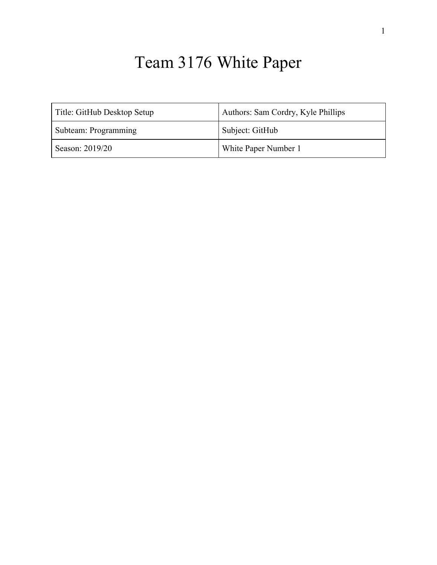# Team 3176 White Paper

| Title: GitHub Desktop Setup | Authors: Sam Cordry, Kyle Phillips |
|-----------------------------|------------------------------------|
| Subteam: Programming        | Subject: GitHub                    |
| Season: 2019/20             | White Paper Number 1               |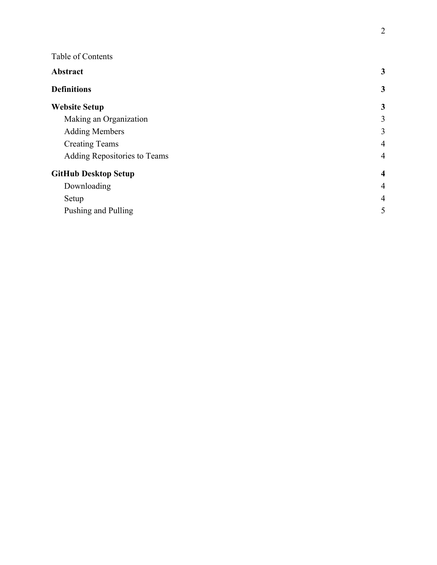| Table of Contents            |                         |
|------------------------------|-------------------------|
| Abstract                     | 3                       |
| <b>Definitions</b>           | $\mathbf{3}$            |
| <b>Website Setup</b>         | 3                       |
| Making an Organization       | 3                       |
| <b>Adding Members</b>        | 3                       |
| <b>Creating Teams</b>        | $\overline{4}$          |
| Adding Repositories to Teams | $\overline{4}$          |
| <b>GitHub Desktop Setup</b>  | $\overline{\mathbf{4}}$ |
| Downloading                  | $\overline{4}$          |
| Setup                        | $\overline{4}$          |
| Pushing and Pulling          | 5                       |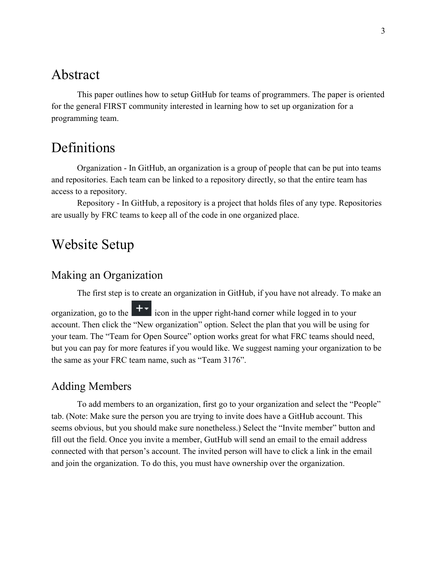### <span id="page-2-0"></span>Abstract

This paper outlines how to setup GitHub for teams of programmers. The paper is oriented for the general FIRST community interested in learning how to set up organization for a programming team.

## <span id="page-2-1"></span>Definitions

Organization - In GitHub, an organization is a group of people that can be put into teams and repositories. Each team can be linked to a repository directly, so that the entire team has access to a repository.

Repository - In GitHub, a repository is a project that holds files of any type. Repositories are usually by FRC teams to keep all of the code in one organized place.

## <span id="page-2-2"></span>Website Setup

#### <span id="page-2-3"></span>Making an Organization

The first step is to create an organization in GitHub, if you have not already. To make an

organization, go to the  $\mathbf{I}$  icon in the upper right-hand corner while logged in to your account. Then click the "New organization" option. Select the plan that you will be using for your team. The "Team for Open Source" option works great for what FRC teams should need, but you can pay for more features if you would like. We suggest naming your organization to be the same as your FRC team name, such as "Team 3176".

#### <span id="page-2-4"></span>Adding Members

To add members to an organization, first go to your organization and select the "People" tab. (Note: Make sure the person you are trying to invite does have a GitHub account. This seems obvious, but you should make sure nonetheless.) Select the "Invite member" button and fill out the field. Once you invite a member, GutHub will send an email to the email address connected with that person's account. The invited person will have to click a link in the email and join the organization. To do this, you must have ownership over the organization.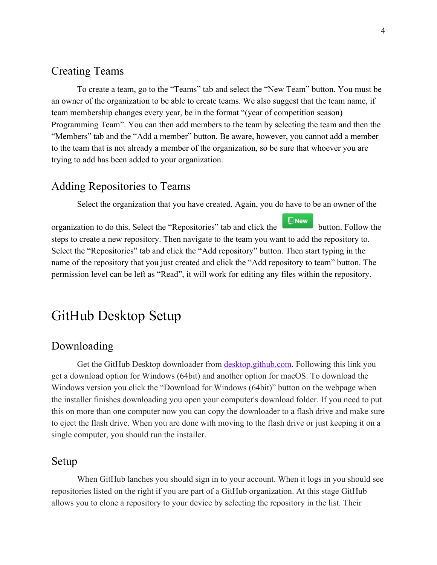#### <span id="page-3-0"></span>Creating Teams

To create a team, go to the "Teams" tab and select the "New Team" button. You must be an owner of the organization to be able to create teams. We also suggest that the team name, if team membership changes every year, be in the format "(year of competition season) Programming Team". You can then add members to the team by selecting the team and then the "Members" tab and the "Add a member" button. Be aware, however, you cannot add a member to the team that is not already a member of the organization, so be sure that whoever you are trying to add has been added to your organization.

#### <span id="page-3-1"></span>Adding Repositories to Teams

Select the organization that you have created. Again, you do have to be an owner of the

organization to do this. Select the "Repositories" tab and click the button. Follow the steps to create a new repository. Then navigate to the team you want to add the repository to. Select the "Repositories" tab and click the "Add repository" button. Then start typing in the name of the repository that you just created and click the "Add repository to team" button. The permission level can be left as "Read", it will work for editing any files within the repository.

## <span id="page-3-2"></span>GitHub Desktop Setup

#### <span id="page-3-3"></span>Downloading

Get the GitHub Desktop downloader from [desktop.github.com.](http://desktop.github.com/) Following this link you get a download option for Windows (64bit) and another option for macOS. To download the Windows version you click the "Download for Windows (64bit)" button on the webpage when the installer finishes downloading you open your computer's download folder. If you need to put this on more than one computer now you can copy the downloader to a flash drive and make sure to eject the flash drive. When you are done with moving to the flash drive or just keeping it on a single computer, you should run the installer.

#### <span id="page-3-4"></span>Setup

When GitHub lanches you should sign in to your account. When it logs in you should see repositories listed on the right if you are part of a GitHub organization. At this stage GitHub allows you to clone a repository to your device by selecting the repository in the list. Their